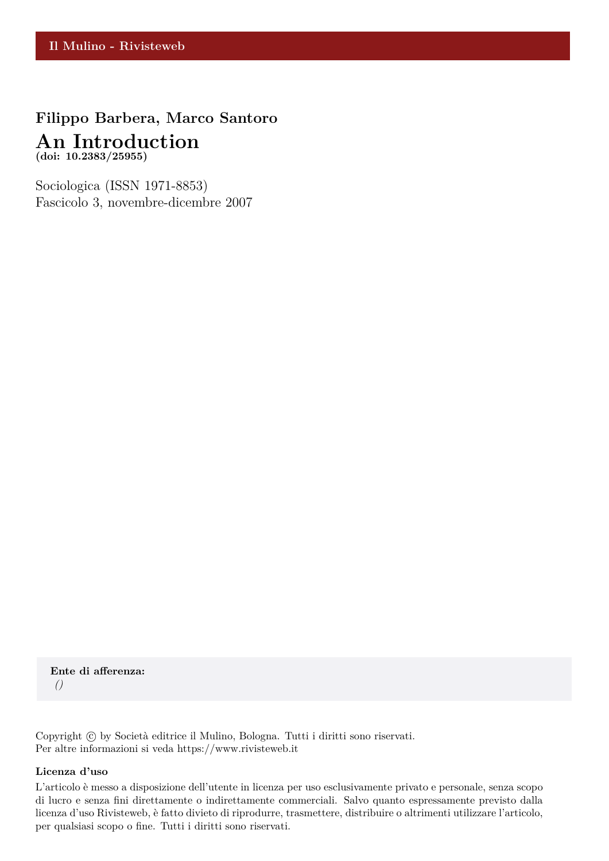# **Filippo Barbera, Marco Santoro An Introduction (doi: 10.2383/25955)**

Sociologica (ISSN 1971-8853) Fascicolo 3, novembre-dicembre 2007

**Ente di afferenza:** *()*

Copyright © by Società editrice il Mulino, Bologna. Tutti i diritti sono riservati. Per altre informazioni si veda https://www.rivisteweb.it

#### **Licenza d'uso**

L'articolo è messo a disposizione dell'utente in licenza per uso esclusivamente privato e personale, senza scopo di lucro e senza fini direttamente o indirettamente commerciali. Salvo quanto espressamente previsto dalla licenza d'uso Rivisteweb, è fatto divieto di riprodurre, trasmettere, distribuire o altrimenti utilizzare l'articolo, per qualsiasi scopo o fine. Tutti i diritti sono riservati.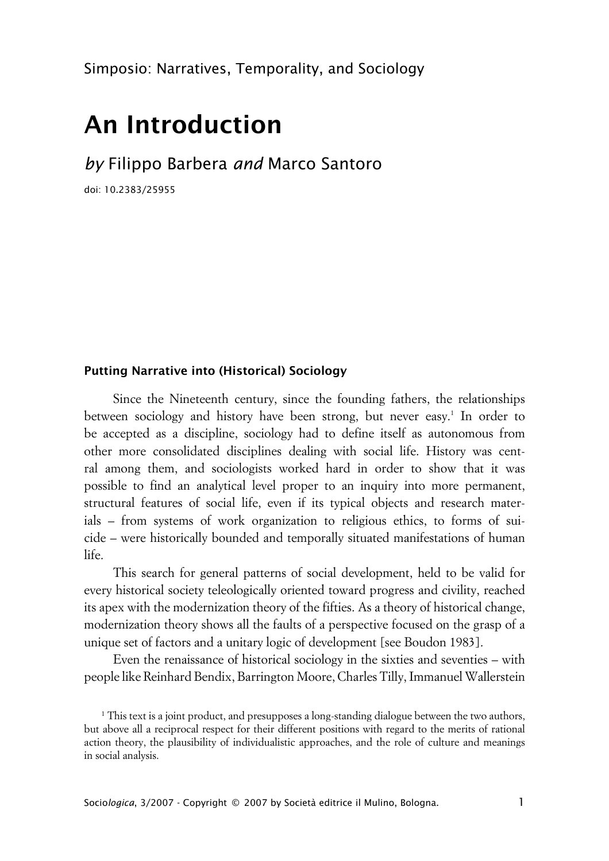# **An Introduction**

*by* Filippo Barbera *and* Marco Santoro

doi: 10.2383/25955

### **xPutting Narrative into (Historical) Sociology**

Since the Nineteenth century, since the founding fathers, the relationships between sociology and history have been strong, but never easy.<sup>1</sup> In order to be accepted as a discipline, sociology had to define itself as autonomous from other more consolidated disciplines dealing with social life. History was central among them, and sociologists worked hard in order to show that it was possible to find an analytical level proper to an inquiry into more permanent, structural features of social life, even if its typical objects and research materials – from systems of work organization to religious ethics, to forms of suicide – were historically bounded and temporally situated manifestations of human life.

This search for general patterns of social development, held to be valid for every historical society teleologically oriented toward progress and civility, reached its apex with the modernization theory of the fifties. As a theory of historical change, modernization theory shows all the faults of a perspective focused on the grasp of a unique set of factors and a unitary logic of development [see Boudon 1983].

Even the renaissance of historical sociology in the sixties and seventies – with people like Reinhard Bendix, Barrington Moore, Charles Tilly, Immanuel Wallerstein

<sup>1</sup> This text is a joint product, and presupposes a long-standing dialogue between the two authors, but above all a reciprocal respect for their different positions with regard to the merits of rational action theory, the plausibility of individualistic approaches, and the role of culture and meanings in social analysis.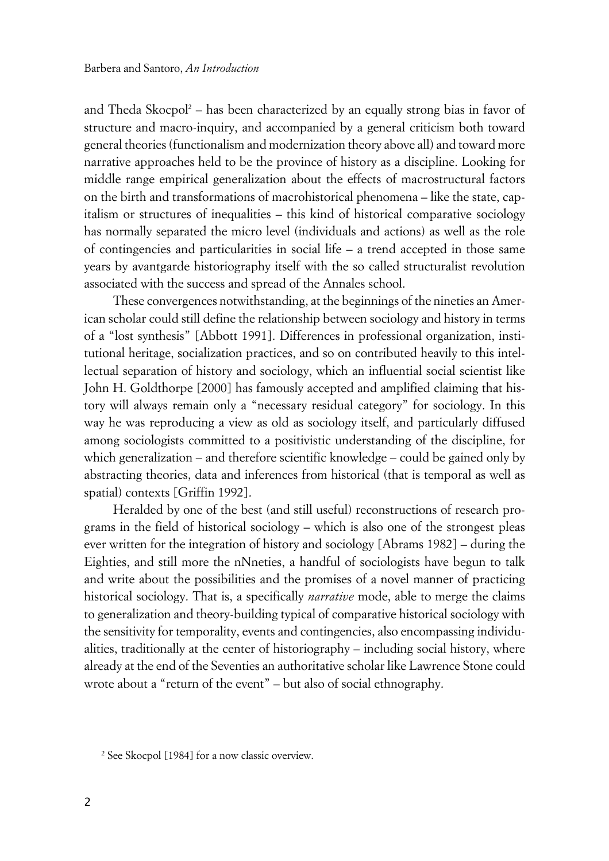and Theda Skocpol<sup>2</sup> – has been characterized by an equally strong bias in favor of structure and macro-inquiry, and accompanied by a general criticism both toward general theories (functionalism and modernization theory above all) and toward more narrative approaches held to be the province of history as a discipline. Looking for middle range empirical generalization about the effects of macrostructural factors on the birth and transformations of macrohistorical phenomena – like the state, capitalism or structures of inequalities – this kind of historical comparative sociology has normally separated the micro level (individuals and actions) as well as the role of contingencies and particularities in social life – a trend accepted in those same years by avantgarde historiography itself with the so called structuralist revolution associated with the success and spread of the Annales school.

These convergences notwithstanding, at the beginnings of the nineties an American scholar could still define the relationship between sociology and history in terms of a "lost synthesis" [Abbott 1991]. Differences in professional organization, institutional heritage, socialization practices, and so on contributed heavily to this intellectual separation of history and sociology, which an influential social scientist like John H. Goldthorpe [2000] has famously accepted and amplified claiming that history will always remain only a "necessary residual category" for sociology. In this way he was reproducing a view as old as sociology itself, and particularly diffused among sociologists committed to a positivistic understanding of the discipline, for which generalization – and therefore scientific knowledge – could be gained only by abstracting theories, data and inferences from historical (that is temporal as well as spatial) contexts [Griffin 1992].

Heralded by one of the best (and still useful) reconstructions of research programs in the field of historical sociology – which is also one of the strongest pleas ever written for the integration of history and sociology [Abrams 1982] – during the Eighties, and still more the nNneties, a handful of sociologists have begun to talk and write about the possibilities and the promises of a novel manner of practicing historical sociology. That is, a specifically *narrative* mode, able to merge the claims to generalization and theory-building typical of comparative historical sociology with the sensitivity for temporality, events and contingencies, also encompassing individualities, traditionally at the center of historiography – including social history, where already at the end of the Seventies an authoritative scholar like Lawrence Stone could wrote about a "return of the event" – but also of social ethnography.

<sup>2</sup> See Skocpol [1984] for a now classic overview.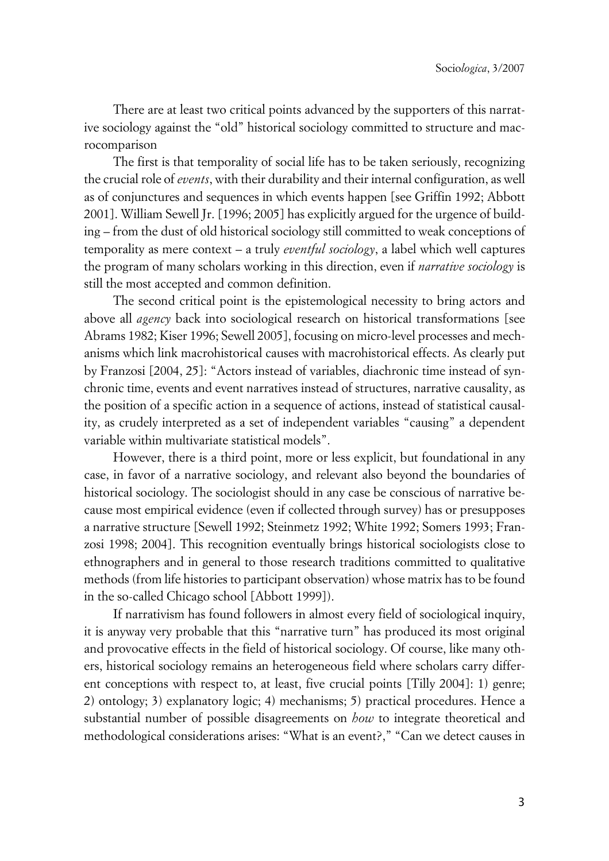There are at least two critical points advanced by the supporters of this narrative sociology against the "old" historical sociology committed to structure and macrocomparison

The first is that temporality of social life has to be taken seriously, recognizing the crucial role of *events*, with their durability and their internal configuration, as well as of conjunctures and sequences in which events happen [see Griffin 1992; Abbott 2001]. William Sewell Jr. [1996; 2005] has explicitly argued for the urgence of building – from the dust of old historical sociology still committed to weak conceptions of temporality as mere context – a truly *eventful sociology*, a label which well captures the program of many scholars working in this direction, even if *narrative sociology* is still the most accepted and common definition.

The second critical point is the epistemological necessity to bring actors and above all *agency* back into sociological research on historical transformations [see Abrams 1982; Kiser 1996; Sewell 2005], focusing on micro-level processes and mechanisms which link macrohistorical causes with macrohistorical effects. As clearly put by Franzosi [2004, 25]: "Actors instead of variables, diachronic time instead of synchronic time, events and event narratives instead of structures, narrative causality, as the position of a specific action in a sequence of actions, instead of statistical causality, as crudely interpreted as a set of independent variables "causing" a dependent variable within multivariate statistical models".

However, there is a third point, more or less explicit, but foundational in any case, in favor of a narrative sociology, and relevant also beyond the boundaries of historical sociology. The sociologist should in any case be conscious of narrative because most empirical evidence (even if collected through survey) has or presupposes a narrative structure [Sewell 1992; Steinmetz 1992; White 1992; Somers 1993; Franzosi 1998; 2004]. This recognition eventually brings historical sociologists close to ethnographers and in general to those research traditions committed to qualitative methods (from life histories to participant observation) whose matrix has to be found in the so-called Chicago school [Abbott 1999]).

If narrativism has found followers in almost every field of sociological inquiry, it is anyway very probable that this "narrative turn" has produced its most original and provocative effects in the field of historical sociology. Of course, like many others, historical sociology remains an heterogeneous field where scholars carry different conceptions with respect to, at least, five crucial points [Tilly 2004]: 1) genre; 2) ontology; 3) explanatory logic; 4) mechanisms; 5) practical procedures. Hence a substantial number of possible disagreements on *how* to integrate theoretical and methodological considerations arises: "What is an event?," "Can we detect causes in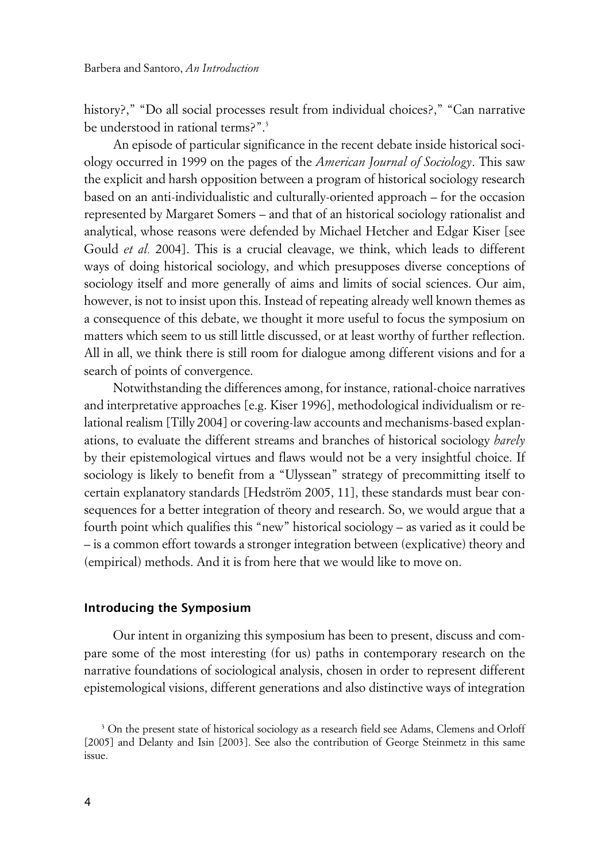history?," "Do all social processes result from individual choices?," "Can narrative be understood in rational terms?".<sup>3</sup>

An episode of particular significance in the recent debate inside historical sociology occurred in 1999 on the pages of the *American Journal of Sociology*. This saw the explicit and harsh opposition between a program of historical sociology research based on an anti-individualistic and culturally-oriented approach – for the occasion represented by Margaret Somers – and that of an historical sociology rationalist and analytical, whose reasons were defended by Michael Hetcher and Edgar Kiser [see Gould *et al.* 2004]. This is a crucial cleavage, we think, which leads to different ways of doing historical sociology, and which presupposes diverse conceptions of sociology itself and more generally of aims and limits of social sciences. Our aim, however, is not to insist upon this. Instead of repeating already well known themes as a consequence of this debate, we thought it more useful to focus the symposium on matters which seem to us still little discussed, or at least worthy of further reflection. All in all, we think there is still room for dialogue among different visions and for a search of points of convergence.

Notwithstanding the differences among, for instance, rational-choice narratives and interpretative approaches [e.g. Kiser 1996], methodological individualism or relational realism [Tilly 2004] or covering-law accounts and mechanisms-based explanations, to evaluate the different streams and branches of historical sociology *barely* by their epistemological virtues and flaws would not be a very insightful choice. If sociology is likely to benefit from a "Ulyssean" strategy of precommitting itself to certain explanatory standards [Hedström 2005, 11], these standards must bear consequences for a better integration of theory and research. So, we would argue that a fourth point which qualifies this "new" historical sociology – as varied as it could be – is a common effort towards a stronger integration between (explicative) theory and (empirical) methods. And it is from here that we would like to move on.

#### **xIntroducing the Symposium**

Our intent in organizing this symposium has been to present, discuss and compare some of the most interesting (for us) paths in contemporary research on the narrative foundations of sociological analysis, chosen in order to represent different epistemological visions, different generations and also distinctive ways of integration

<sup>&</sup>lt;sup>3</sup> On the present state of historical sociology as a research field see Adams, Clemens and Orloff [2005] and Delanty and Isin [2003]. See also the contribution of George Steinmetz in this same issue.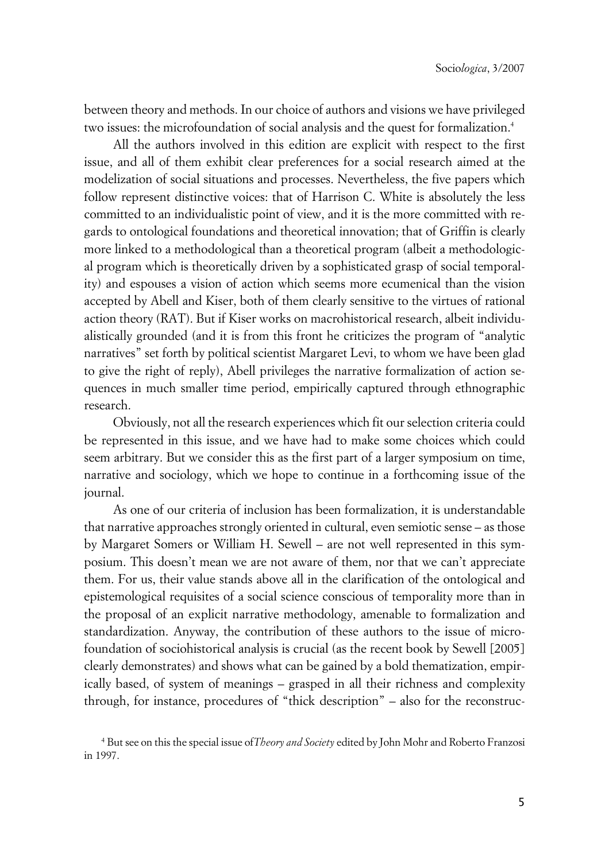between theory and methods. In our choice of authors and visions we have privileged two issues: the microfoundation of social analysis and the quest for formalization.<sup>4</sup>

All the authors involved in this edition are explicit with respect to the first issue, and all of them exhibit clear preferences for a social research aimed at the modelization of social situations and processes. Nevertheless, the five papers which follow represent distinctive voices: that of Harrison C. White is absolutely the less committed to an individualistic point of view, and it is the more committed with regards to ontological foundations and theoretical innovation; that of Griffin is clearly more linked to a methodological than a theoretical program (albeit a methodological program which is theoretically driven by a sophisticated grasp of social temporality) and espouses a vision of action which seems more ecumenical than the vision accepted by Abell and Kiser, both of them clearly sensitive to the virtues of rational action theory (RAT). But if Kiser works on macrohistorical research, albeit individualistically grounded (and it is from this front he criticizes the program of "analytic narratives" set forth by political scientist Margaret Levi, to whom we have been glad to give the right of reply), Abell privileges the narrative formalization of action sequences in much smaller time period, empirically captured through ethnographic research.

Obviously, not all the research experiences which fit our selection criteria could be represented in this issue, and we have had to make some choices which could seem arbitrary. But we consider this as the first part of a larger symposium on time, narrative and sociology, which we hope to continue in a forthcoming issue of the journal.

As one of our criteria of inclusion has been formalization, it is understandable that narrative approaches strongly oriented in cultural, even semiotic sense – as those by Margaret Somers or William H. Sewell – are not well represented in this symposium. This doesn't mean we are not aware of them, nor that we can't appreciate them. For us, their value stands above all in the clarification of the ontological and epistemological requisites of a social science conscious of temporality more than in the proposal of an explicit narrative methodology, amenable to formalization and standardization. Anyway, the contribution of these authors to the issue of microfoundation of sociohistorical analysis is crucial (as the recent book by Sewell [2005] clearly demonstrates) and shows what can be gained by a bold thematization, empirically based, of system of meanings – grasped in all their richness and complexity through, for instance, procedures of "thick description" – also for the reconstruc-

<sup>4</sup> But see on this the special issue of*Theory and Society* edited by John Mohr and Roberto Franzosi in 1997.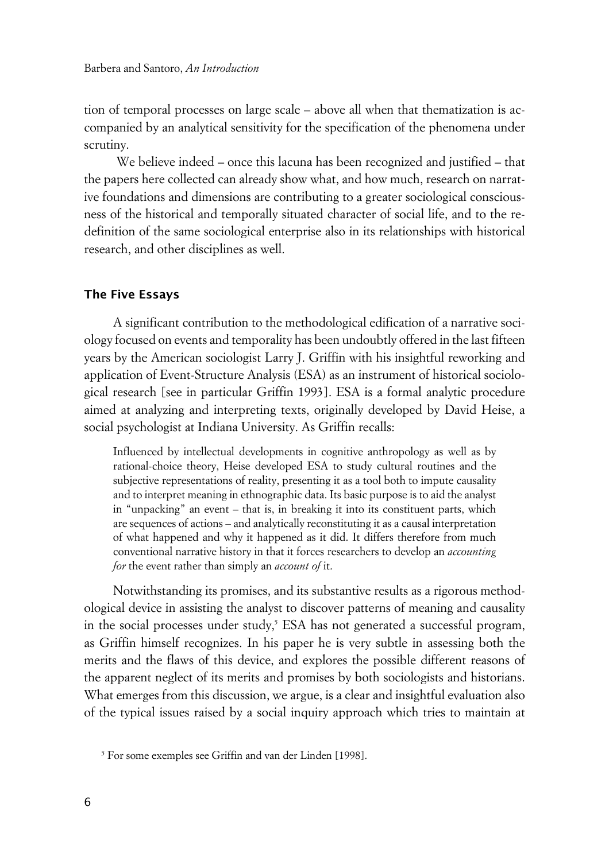tion of temporal processes on large scale – above all when that thematization is accompanied by an analytical sensitivity for the specification of the phenomena under scrutiny.

 We believe indeed – once this lacuna has been recognized and justified – that the papers here collected can already show what, and how much, research on narrative foundations and dimensions are contributing to a greater sociological consciousness of the historical and temporally situated character of social life, and to the redefinition of the same sociological enterprise also in its relationships with historical research, and other disciplines as well.

# **xThe Five Essays**

A significant contribution to the methodological edification of a narrative sociology focused on events and temporality has been undoubtly offered in the last fifteen years by the American sociologist Larry J. Griffin with his insightful reworking and application of Event-Structure Analysis (ESA) as an instrument of historical sociological research [see in particular Griffin 1993]. ESA is a formal analytic procedure aimed at analyzing and interpreting texts, originally developed by David Heise, a social psychologist at Indiana University. As Griffin recalls:

Influenced by intellectual developments in cognitive anthropology as well as by rational-choice theory, Heise developed ESA to study cultural routines and the subjective representations of reality, presenting it as a tool both to impute causality and to interpret meaning in ethnographic data. Its basic purpose is to aid the analyst in "unpacking" an event – that is, in breaking it into its constituent parts, which are sequences of actions – and analytically reconstituting it as a causal interpretation of what happened and why it happened as it did. It differs therefore from much conventional narrative history in that it forces researchers to develop an *accounting for* the event rather than simply an *account of* it.

Notwithstanding its promises, and its substantive results as a rigorous methodological device in assisting the analyst to discover patterns of meaning and causality in the social processes under study,<sup>5</sup> ESA has not generated a successful program, as Griffin himself recognizes. In his paper he is very subtle in assessing both the merits and the flaws of this device, and explores the possible different reasons of the apparent neglect of its merits and promises by both sociologists and historians. What emerges from this discussion, we argue, is a clear and insightful evaluation also of the typical issues raised by a social inquiry approach which tries to maintain at

<sup>5</sup> For some exemples see Griffin and van der Linden [1998].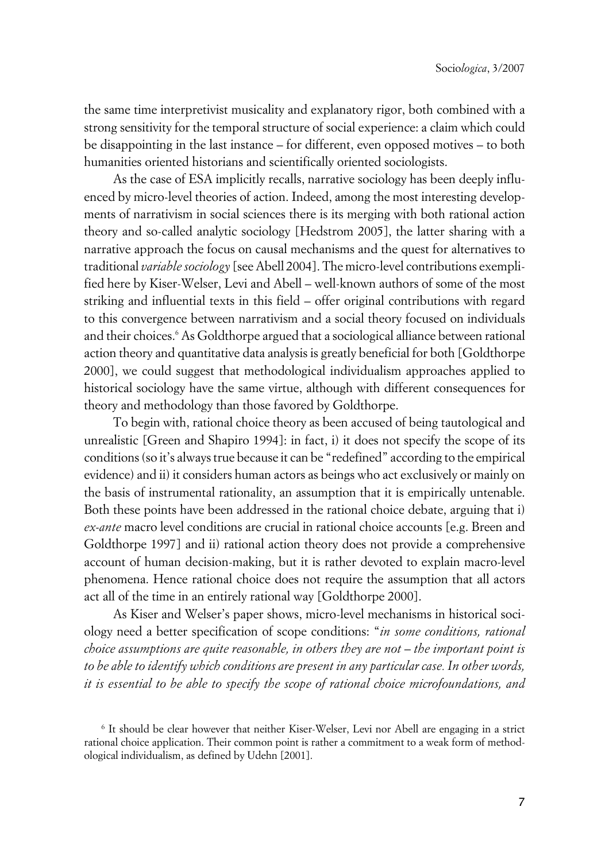the same time interpretivist musicality and explanatory rigor, both combined with a strong sensitivity for the temporal structure of social experience: a claim which could be disappointing in the last instance – for different, even opposed motives – to both humanities oriented historians and scientifically oriented sociologists.

As the case of ESA implicitly recalls, narrative sociology has been deeply influenced by micro-level theories of action. Indeed, among the most interesting developments of narrativism in social sciences there is its merging with both rational action theory and so-called analytic sociology [Hedstrom 2005], the latter sharing with a narrative approach the focus on causal mechanisms and the quest for alternatives to traditional *variable sociology* [see Abell 2004]. The micro-level contributions exemplified here by Kiser-Welser, Levi and Abell – well-known authors of some of the most striking and influential texts in this field – offer original contributions with regard to this convergence between narrativism and a social theory focused on individuals and their choices.<sup>6</sup> As Goldthorpe argued that a sociological alliance between rational action theory and quantitative data analysis is greatly beneficial for both [Goldthorpe 2000], we could suggest that methodological individualism approaches applied to historical sociology have the same virtue, although with different consequences for theory and methodology than those favored by Goldthorpe.

To begin with, rational choice theory as been accused of being tautological and unrealistic [Green and Shapiro 1994]: in fact, i) it does not specify the scope of its conditions (so it's always true because it can be "redefined" according to the empirical evidence) and ii) it considers human actors as beings who act exclusively or mainly on the basis of instrumental rationality, an assumption that it is empirically untenable. Both these points have been addressed in the rational choice debate, arguing that i) *ex-ante* macro level conditions are crucial in rational choice accounts [e.g. Breen and Goldthorpe 1997] and ii) rational action theory does not provide a comprehensive account of human decision-making, but it is rather devoted to explain macro-level phenomena. Hence rational choice does not require the assumption that all actors act all of the time in an entirely rational way [Goldthorpe 2000].

As Kiser and Welser's paper shows, micro-level mechanisms in historical sociology need a better specification of scope conditions: "*in some conditions, rational choice assumptions are quite reasonable, in others they are not – the important point is to be able to identify which conditions are present in any particular case. In other words, it is essential to be able to specify the scope of rational choice microfoundations, and*

<sup>6</sup> It should be clear however that neither Kiser-Welser, Levi nor Abell are engaging in a strict rational choice application. Their common point is rather a commitment to a weak form of methodological individualism, as defined by Udehn [2001].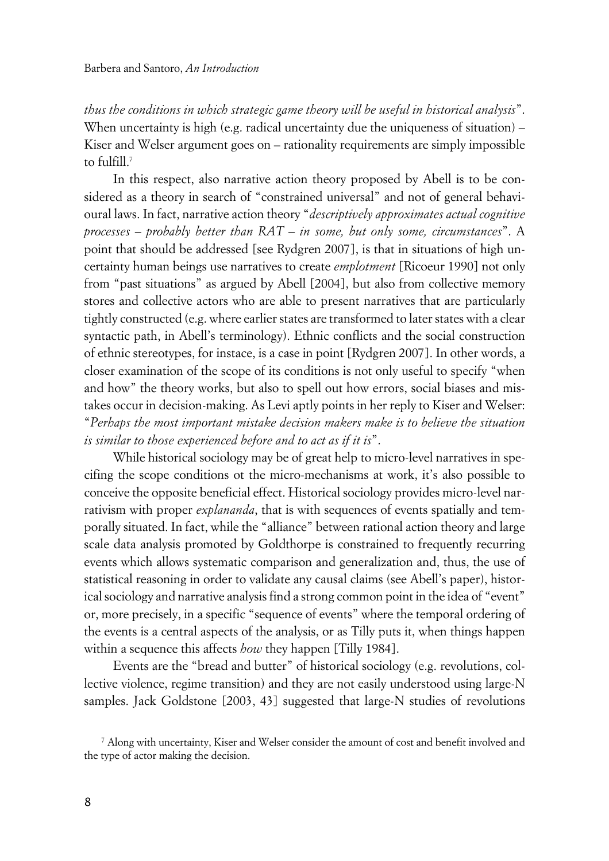*thus the conditions in which strategic game theory will be useful in historical analysis*". When uncertainty is high (e.g. radical uncertainty due the uniqueness of situation) – Kiser and Welser argument goes on – rationality requirements are simply impossible to fulfill.<sup>7</sup>

In this respect, also narrative action theory proposed by Abell is to be considered as a theory in search of "constrained universal" and not of general behavioural laws. In fact, narrative action theory "*descriptively approximates actual cognitive processes* – *probably better than RAT* – *in some, but only some, circumstances*". A point that should be addressed [see Rydgren 2007], is that in situations of high uncertainty human beings use narratives to create *emplotment* [Ricoeur 1990] not only from "past situations" as argued by Abell [2004], but also from collective memory stores and collective actors who are able to present narratives that are particularly tightly constructed (e.g. where earlier states are transformed to later states with a clear syntactic path, in Abell's terminology). Ethnic conflicts and the social construction of ethnic stereotypes, for instace, is a case in point [Rydgren 2007]. In other words, a closer examination of the scope of its conditions is not only useful to specify "when and how" the theory works, but also to spell out how errors, social biases and mistakes occur in decision-making. As Levi aptly points in her reply to Kiser and Welser: "*Perhaps the most important mistake decision makers make is to believe the situation is similar to those experienced before and to act as if it is*".

While historical sociology may be of great help to micro-level narratives in specifing the scope conditions ot the micro-mechanisms at work, it's also possible to conceive the opposite beneficial effect. Historical sociology provides micro-level narrativism with proper *explananda*, that is with sequences of events spatially and temporally situated. In fact, while the "alliance" between rational action theory and large scale data analysis promoted by Goldthorpe is constrained to frequently recurring events which allows systematic comparison and generalization and, thus, the use of statistical reasoning in order to validate any causal claims (see Abell's paper), historical sociology and narrative analysis find a strong common point in the idea of "event" or, more precisely, in a specific "sequence of events" where the temporal ordering of the events is a central aspects of the analysis, or as Tilly puts it, when things happen within a sequence this affects *how* they happen [Tilly 1984].

Events are the "bread and butter" of historical sociology (e.g. revolutions, collective violence, regime transition) and they are not easily understood using large-N samples. Jack Goldstone [2003, 43] suggested that large-N studies of revolutions

<sup>7</sup> Along with uncertainty, Kiser and Welser consider the amount of cost and benefit involved and the type of actor making the decision.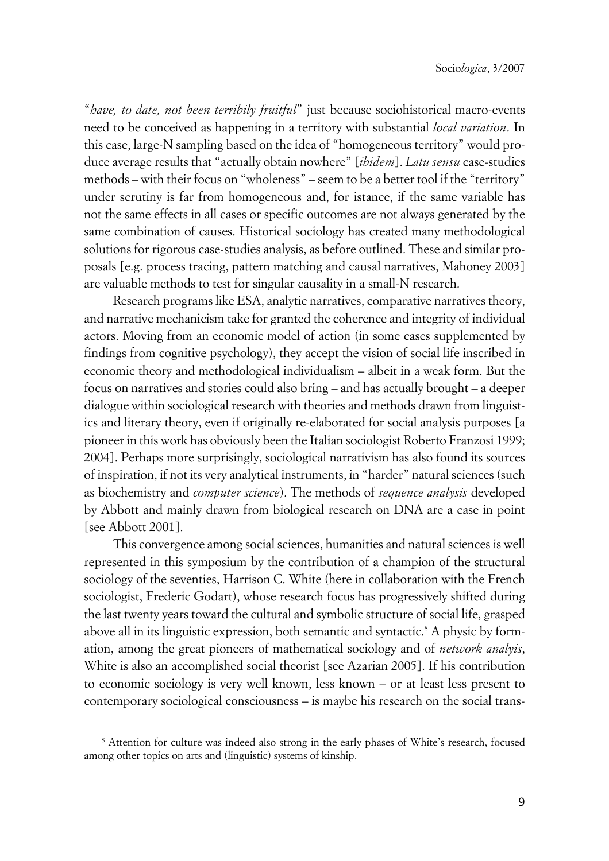"*have, to date, not been terribily fruitful*" just because sociohistorical macro-events need to be conceived as happening in a territory with substantial *local variation*. In this case, large-N sampling based on the idea of "homogeneous territory" would produce average results that "actually obtain nowhere" [*ibidem*]. *Latu sensu* case-studies methods – with their focus on "wholeness" – seem to be a better tool if the "territory" under scrutiny is far from homogeneous and, for istance, if the same variable has not the same effects in all cases or specific outcomes are not always generated by the same combination of causes. Historical sociology has created many methodological solutions for rigorous case-studies analysis, as before outlined. These and similar proposals [e.g. process tracing, pattern matching and causal narratives, Mahoney 2003] are valuable methods to test for singular causality in a small-N research.

Research programs like ESA, analytic narratives, comparative narratives theory, and narrative mechanicism take for granted the coherence and integrity of individual actors. Moving from an economic model of action (in some cases supplemented by findings from cognitive psychology), they accept the vision of social life inscribed in economic theory and methodological individualism – albeit in a weak form. But the focus on narratives and stories could also bring – and has actually brought – a deeper dialogue within sociological research with theories and methods drawn from linguistics and literary theory, even if originally re-elaborated for social analysis purposes [a pioneer in this work has obviously been the Italian sociologist Roberto Franzosi 1999; 2004]. Perhaps more surprisingly, sociological narrativism has also found its sources of inspiration, if not its very analytical instruments, in "harder" natural sciences (such as biochemistry and *computer science*). The methods of *sequence analysis* developed by Abbott and mainly drawn from biological research on DNA are a case in point [see Abbott 2001].

This convergence among social sciences, humanities and natural sciences is well represented in this symposium by the contribution of a champion of the structural sociology of the seventies, Harrison C. White (here in collaboration with the French sociologist, Frederic Godart), whose research focus has progressively shifted during the last twenty years toward the cultural and symbolic structure of social life, grasped above all in its linguistic expression, both semantic and syntactic.<sup>8</sup> A physic by formation, among the great pioneers of mathematical sociology and of *network analyis*, White is also an accomplished social theorist [see Azarian 2005]. If his contribution to economic sociology is very well known, less known – or at least less present to contemporary sociological consciousness – is maybe his research on the social trans-

<sup>8</sup> Attention for culture was indeed also strong in the early phases of White's research, focused among other topics on arts and (linguistic) systems of kinship.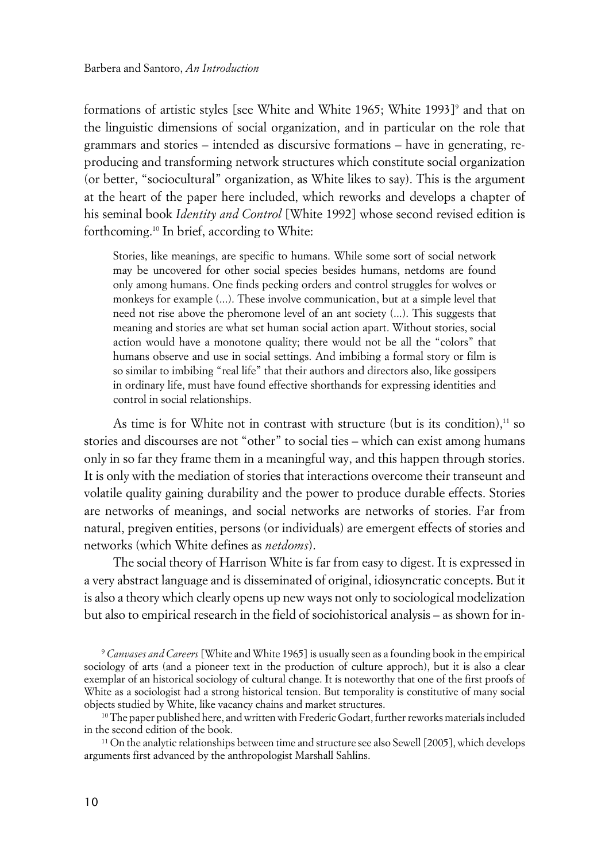formations of artistic styles [see White and White 1965; White 1993]<sup>9</sup> and that on the linguistic dimensions of social organization, and in particular on the role that grammars and stories – intended as discursive formations – have in generating, reproducing and transforming network structures which constitute social organization (or better, "sociocultural" organization, as White likes to say). This is the argument at the heart of the paper here included, which reworks and develops a chapter of his seminal book *Identity and Control* [White 1992] whose second revised edition is forthcoming.10 In brief, according to White:

Stories, like meanings, are specific to humans. While some sort of social network may be uncovered for other social species besides humans, netdoms are found only among humans. One finds pecking orders and control struggles for wolves or monkeys for example (...). These involve communication, but at a simple level that need not rise above the pheromone level of an ant society (...). This suggests that meaning and stories are what set human social action apart. Without stories, social action would have a monotone quality; there would not be all the "colors" that humans observe and use in social settings. And imbibing a formal story or film is so similar to imbibing "real life" that their authors and directors also, like gossipers in ordinary life, must have found effective shorthands for expressing identities and control in social relationships.

As time is for White not in contrast with structure (but is its condition),<sup>11</sup> so stories and discourses are not "other" to social ties – which can exist among humans only in so far they frame them in a meaningful way, and this happen through stories. It is only with the mediation of stories that interactions overcome their transeunt and volatile quality gaining durability and the power to produce durable effects. Stories are networks of meanings, and social networks are networks of stories. Far from natural, pregiven entities, persons (or individuals) are emergent effects of stories and networks (which White defines as *netdoms*).

The social theory of Harrison White is far from easy to digest. It is expressed in a very abstract language and is disseminated of original, idiosyncratic concepts. But it is also a theory which clearly opens up new ways not only to sociological modelization but also to empirical research in the field of sociohistorical analysis – as shown for in-

<sup>9</sup> *Canvases and Careers* [White and White 1965] is usually seen as a founding book in the empirical sociology of arts (and a pioneer text in the production of culture approch), but it is also a clear exemplar of an historical sociology of cultural change. It is noteworthy that one of the first proofs of White as a sociologist had a strong historical tension. But temporality is constitutive of many social objects studied by White, like vacancy chains and market structures.

 $10$  The paper published here, and written with Frederic Godart, further reworks materials included in the second edition of the book.

<sup>11</sup> On the analytic relationships between time and structure see also Sewell [2005], which develops arguments first advanced by the anthropologist Marshall Sahlins.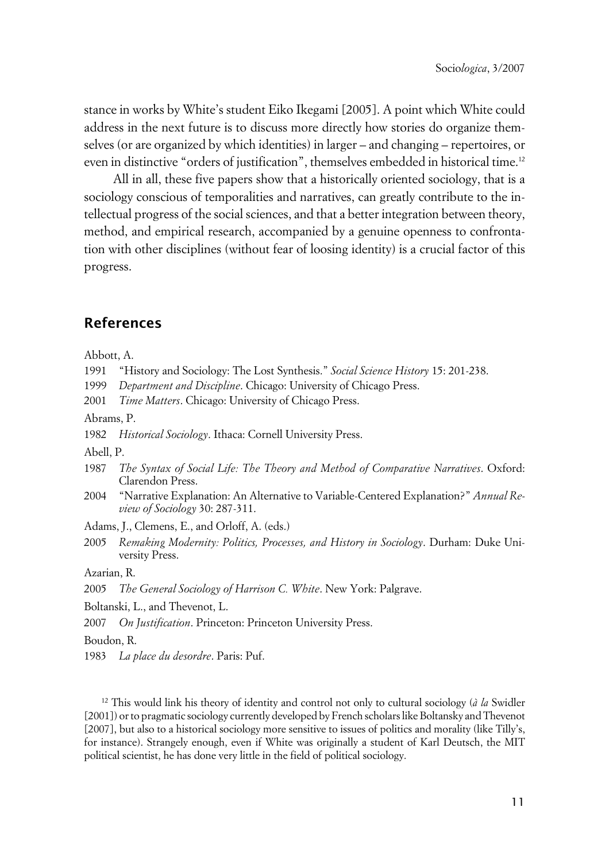stance in works by White's student Eiko Ikegami [2005]. A point which White could address in the next future is to discuss more directly how stories do organize themselves (or are organized by which identities) in larger – and changing – repertoires, or even in distinctive "orders of justification", themselves embedded in historical time.<sup>12</sup>

All in all, these five papers show that a historically oriented sociology, that is a sociology conscious of temporalities and narratives, can greatly contribute to the intellectual progress of the social sciences, and that a better integration between theory, method, and empirical research, accompanied by a genuine openness to confrontation with other disciplines (without fear of loosing identity) is a crucial factor of this progress.

# **References**

Abbott, A.

- 1991 "History and Sociology: The Lost Synthesis." *Social Science History* 15: 201-238.
- 1999 *Department and Discipline*. Chicago: University of Chicago Press.

2001 *Time Matters*. Chicago: University of Chicago Press.

Abrams, P.

1982 *Historical Sociology*. Ithaca: Cornell University Press.

Abell, P.

- 1987 *The Syntax of Social Life: The Theory and Method of Comparative Narratives*. Oxford: Clarendon Press.
- 2004 "Narrative Explanation: An Alternative to Variable-Centered Explanation?" *Annual Review of Sociology* 30: 287-311.

Adams, J., Clemens, E., and Orloff, A. (eds.)

2005 *Remaking Modernity: Politics, Processes, and History in Sociology*. Durham: Duke University Press.

Azarian, R.

Boltanski, L., and Thevenot, L.

2007 *On Justification*. Princeton: Princeton University Press.

Boudon, R.

1983 *La place du desordre*. Paris: Puf.

<sup>12</sup> This would link his theory of identity and control not only to cultural sociology (*à la* Swidler [2001]) or to pragmatic sociology currently developed by French scholars like Boltansky and Thevenot [2007], but also to a historical sociology more sensitive to issues of politics and morality (like Tilly's, for instance). Strangely enough, even if White was originally a student of Karl Deutsch, the MIT political scientist, he has done very little in the field of political sociology.

<sup>2005</sup> *The General Sociology of Harrison C. White*. New York: Palgrave.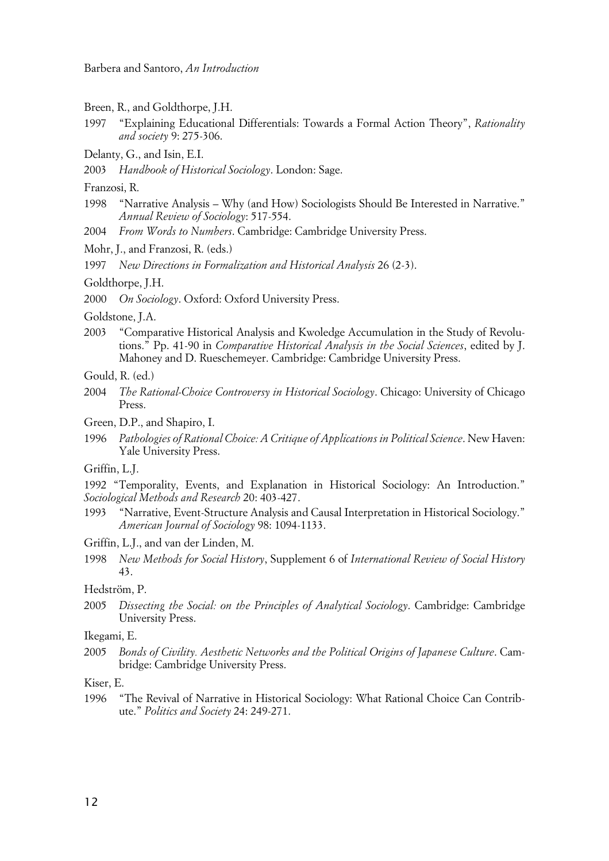Barbera and Santoro, *An Introduction*

- Breen, R., and Goldthorpe, J.H.
- 1997 "Explaining Educational Differentials: Towards a Formal Action Theory", *Rationality and society* 9: 275-306.
- Delanty, G., and Isin, E.I.
- 2003 *Handbook of Historical Sociology*. London: Sage.
- Franzosi, R.
- 1998 "Narrative Analysis Why (and How) Sociologists Should Be Interested in Narrative." *Annual Review of Sociology*: 517-554.
- 2004 *From Words to Numbers*. Cambridge: Cambridge University Press.
- Mohr, J., and Franzosi, R. (eds.)
- 1997 *New Directions in Formalization and Historical Analysis* 26 (2-3).
- Goldthorpe, J.H.
- 2000 *On Sociology*. Oxford: Oxford University Press.

Goldstone, J.A.

- 2003 "Comparative Historical Analysis and Kwoledge Accumulation in the Study of Revolutions." Pp. 41-90 in *Comparative Historical Analysis in the Social Sciences*, edited by J. Mahoney and D. Rueschemeyer. Cambridge: Cambridge University Press.
- Gould, R. (ed.)
- 2004 *The Rational-Choice Controversy in Historical Sociology*. Chicago: University of Chicago Press.
- Green, D.P., and Shapiro, I.
- 1996 *Pathologies of Rational Choice: A Critique of Applications in Political Science*. New Haven: Yale University Press.
- Griffin, L.J.

1992 "Temporality, Events, and Explanation in Historical Sociology: An Introduction." *Sociological Methods and Research* 20: 403-427.

- 1993 "Narrative, Event-Structure Analysis and Causal Interpretation in Historical Sociology." *American Journal of Sociology* 98: 1094-1133.
- Griffin, L.J., and van der Linden, M.
- 1998 *New Methods for Social History*, Supplement 6 of *International Review of Social History* 43.

#### Hedström, P.

2005 *Dissecting the Social: on the Principles of Analytical Sociology*. Cambridge: Cambridge University Press.

#### Ikegami, E.

2005 *Bonds of Civility. Aesthetic Networks and the Political Origins of Japanese Culture*. Cambridge: Cambridge University Press.

#### Kiser, E.

1996 "The Revival of Narrative in Historical Sociology: What Rational Choice Can Contribute." *Politics and Society* 24: 249-271.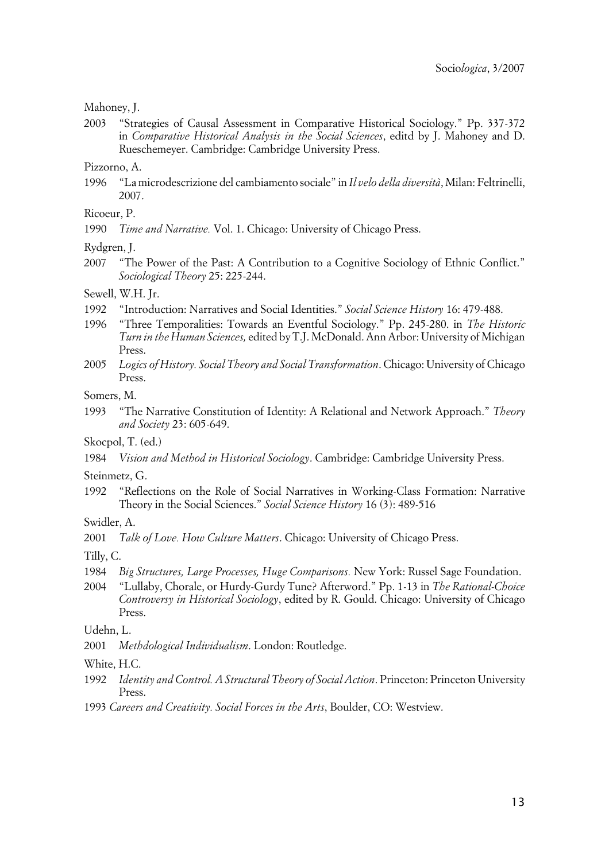#### Mahoney, J.

2003 "Strategies of Causal Assessment in Comparative Historical Sociology." Pp. 337-372 in *Comparative Historical Analysis in the Social Sciences*, editd by J. Mahoney and D. Rueschemeyer. Cambridge: Cambridge University Press.

Pizzorno, A.

1996 "La microdescrizione del cambiamento sociale" in *Il velo della diversità*, Milan: Feltrinelli, 2007.

# Ricoeur, P.

1990 *Time and Narrative.* Vol. 1. Chicago: University of Chicago Press.

Rydgren, J.

2007 "The Power of the Past: A Contribution to a Cognitive Sociology of Ethnic Conflict." *Sociological Theory* 25: 225-244.

#### Sewell, W.H. Jr.

- 1992 "Introduction: Narratives and Social Identities." *Social Science History* 16: 479-488.
- 1996 "Three Temporalities: Towards an Eventful Sociology." Pp. 245-280. in *The Historic Turn in the Human Sciences,* edited by T.J. McDonald. Ann Arbor: University of Michigan Press.
- 2005 *Logics of History. Social Theory and Social Transformation*. Chicago: University of Chicago Press.

Somers, M.

1993 "The Narrative Constitution of Identity: A Relational and Network Approach." *Theory and Society* 23: 605-649.

Skocpol, T. (ed.)

1984 *Vision and Method in Historical Sociology*. Cambridge: Cambridge University Press.

Steinmetz, G.

1992 "Reflections on the Role of Social Narratives in Working-Class Formation: Narrative Theory in the Social Sciences." *Social Science History* 16 (3): 489-516

Swidler, A.

2001 *Talk of Love. How Culture Matters*. Chicago: University of Chicago Press.

Tilly, C.

- 1984 *Big Structures, Large Processes, Huge Comparisons.* New York: Russel Sage Foundation.
- 2004 "Lullaby, Chorale, or Hurdy-Gurdy Tune? Afterword." Pp. 1-13 in *The Rational-Choice Controversy in Historical Sociology*, edited by R. Gould. Chicago: University of Chicago Press.

Udehn, L.

2001 *Methdological Individualism*. London: Routledge.

White, H.C.

- 1992 *Identity and Control. A Structural Theory of Social Action*. Princeton: Princeton University Press.
- 1993 *Careers and Creativity. Social Forces in the Arts*, Boulder, CO: Westview.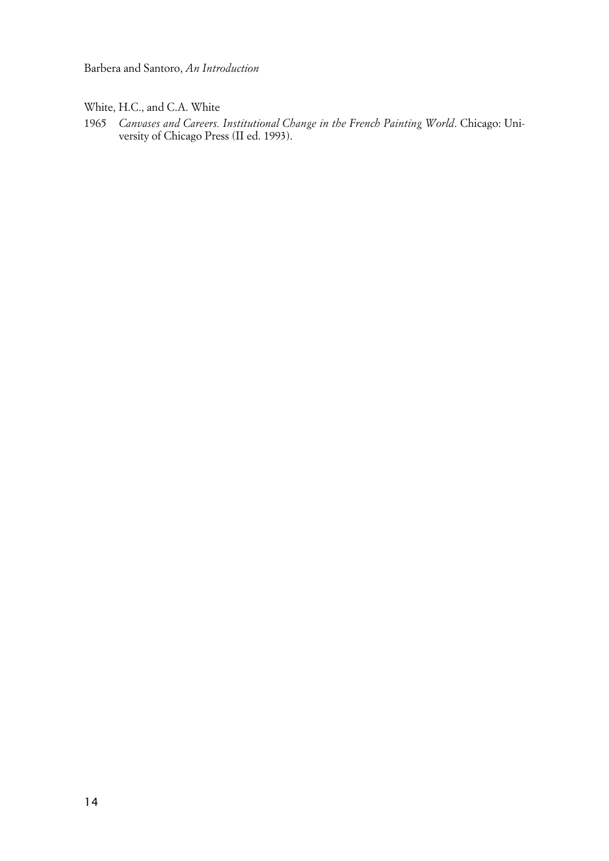Barbera and Santoro, *An Introduction*

White, H.C., and C.A. White

1965 *Canvases and Careers. Institutional Change in the French Painting World*. Chicago: University of Chicago Press (II ed. 1993).